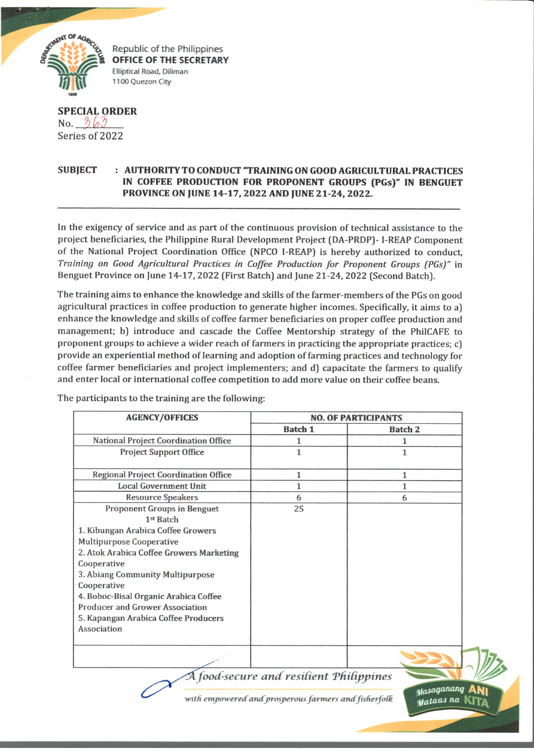

Republic of the Philippines **OFFICE OF THE SECRETARY Elliptical Road, Diliman 1100 Quezon City**

## **SPECIAL ORDER** No.  $363$ Series of 2022

## **SUBJECT : AUTHORITY TO CONDUCT "TRAINING ON GOOD AGRICULTURAL PRACTICES IN COFFEE PRODUCTION FOR PROPONENT GROUPS (PGs)" IN BENGUET PROVINCE ON JUNE 14-17, 2022 AND JUNE 21-24, 2022.**

In the exigency of service and as part of the continuous provision of technical assistance to the project beneficiaries, the Philippine Rural Development Project (DA-PRDP)- I-REAP Component of the National Project Coordination Office (NPCO 1-REAP) is hereby authorized to conduct. *Training on Good Agricultural Practices in Coffee Production for Proponent Groups (PGs)"* in Benguet Province on June 14-17, 2022 (First Batch) and June 21-24, 2022 (Second Batch).

The training aims to enhance the knowledge and skills of the farmer-members of the PGs on good agricultural practices in coffee production to generate higher incomes. Specifically, it aims to a) enhance the knowledge and skills of coffee farmer beneficiaries on proper coffee production and management; b) introduce and cascade the Coffee Mentorship strategy of the PhilCAFE to proponent groups to achieve a wider reach of farmers in practicing the appropriate practices; c) provide an experiential method of learning and adoption of farming practices and technology for coffee farmer beneficiaries and project implementers; and d) capacitate the farmers to qualify and enter local or international coffee competition to add more value on their coffee beans.

| <b>AGENCY/OFFICES</b>                                                                                                                                                                                                                                                                                                                                                     | <b>NO. OF PARTICIPANTS</b> |                |
|---------------------------------------------------------------------------------------------------------------------------------------------------------------------------------------------------------------------------------------------------------------------------------------------------------------------------------------------------------------------------|----------------------------|----------------|
|                                                                                                                                                                                                                                                                                                                                                                           | <b>Batch 1</b>             | <b>Batch 2</b> |
| National Project Coordination Office                                                                                                                                                                                                                                                                                                                                      |                            |                |
| <b>Project Support Office</b>                                                                                                                                                                                                                                                                                                                                             | 1                          |                |
| <b>Regional Project Coordination Office</b>                                                                                                                                                                                                                                                                                                                               | 1                          | 1              |
| <b>Local Government Unit</b>                                                                                                                                                                                                                                                                                                                                              | 1                          |                |
| <b>Resource Speakers</b>                                                                                                                                                                                                                                                                                                                                                  | 6                          | 6              |
| <b>Proponent Groups in Benguet</b><br>1st Batch<br>1. Kibungan Arabica Coffee Growers<br>Multipurpose Cooperative<br>2. Atok Arabica Coffee Growers Marketing<br>Cooperative<br>3. Abiang Community Multipurpose<br>Cooperative<br>4. Boboc-Bisal Organic Arabica Coffee<br><b>Producer and Grower Association</b><br>5. Kapangan Arabica Coffee Producers<br>Association | 25                         |                |
|                                                                                                                                                                                                                                                                                                                                                                           |                            |                |

The participants to the training are the following:

with empowered and prosperous farmers and fisherfolk

 $_{\it Max}$ aganang (ja W fl-j *na* **lv!Y/\**

*A food-secure and resilient Philippines*